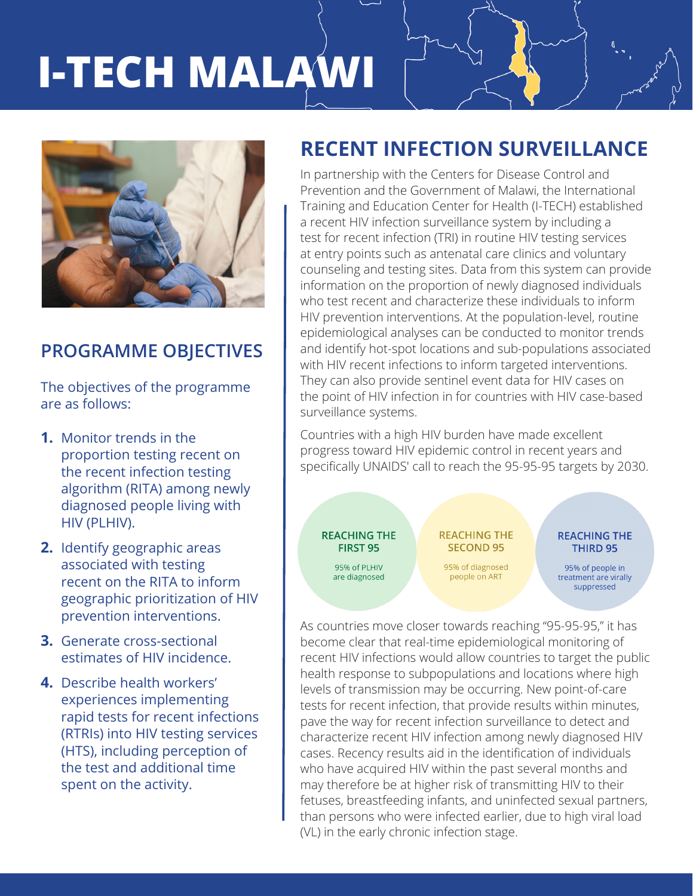# **I-TECH MALAWI**



### **PROGRAMME OBJECTIVES**

The objectives of the programme are as follows:

- **1.** Monitor trends in the proportion testing recent on the recent infection testing algorithm (RITA) among newly diagnosed people living with HIV (PLHIV).
- **2.** Identify geographic areas associated with testing recent on the RITA to inform geographic prioritization of HIV prevention interventions.
- **3.** Generate cross-sectional estimates of HIV incidence.
- **4.** Describe health workers' experiences implementing rapid tests for recent infections (RTRIs) into HIV testing services (HTS), including perception of the test and additional time spent on the activity.

# **RECENT INFECTION SURVEILLANCE**

In partnership with the Centers for Disease Control and Prevention and the Government of Malawi, the International Training and Education Center for Health (I-TECH) established a recent HIV infection surveillance system by including a test for recent infection (TRI) in routine HIV testing services at entry points such as antenatal care clinics and voluntary counseling and testing sites. Data from this system can provide information on the proportion of newly diagnosed individuals who test recent and characterize these individuals to inform HIV prevention interventions. At the population-level, routine epidemiological analyses can be conducted to monitor trends and identify hot-spot locations and sub-populations associated with HIV recent infections to inform targeted interventions. They can also provide sentinel event data for HIV cases on the point of HIV infection in for countries with HIV case-based surveillance systems.

Countries with a high HIV burden have made excellent progress toward HIV epidemic control in recent years and specifically UNAIDS' call to reach the 95-95-95 targets by 2030.

**REACHING THE FIRST 95** 

> 95% of PLHIV are diagnosed

**REACHING THE SECOND 95** 

95% of diagnosed people on ART

**REACHING THE** THIRD 95

95% of people in treatment are virally suppressed

As countries move closer towards reaching "95-95-95," it has become clear that real-time epidemiological monitoring of recent HIV infections would allow countries to target the public health response to subpopulations and locations where high levels of transmission may be occurring. New point-of-care tests for recent infection, that provide results within minutes, pave the way for recent infection surveillance to detect and characterize recent HIV infection among newly diagnosed HIV cases. Recency results aid in the identification of individuals who have acquired HIV within the past several months and may therefore be at higher risk of transmitting HIV to their fetuses, breastfeeding infants, and uninfected sexual partners, than persons who were infected earlier, due to high viral load (VL) in the early chronic infection stage.